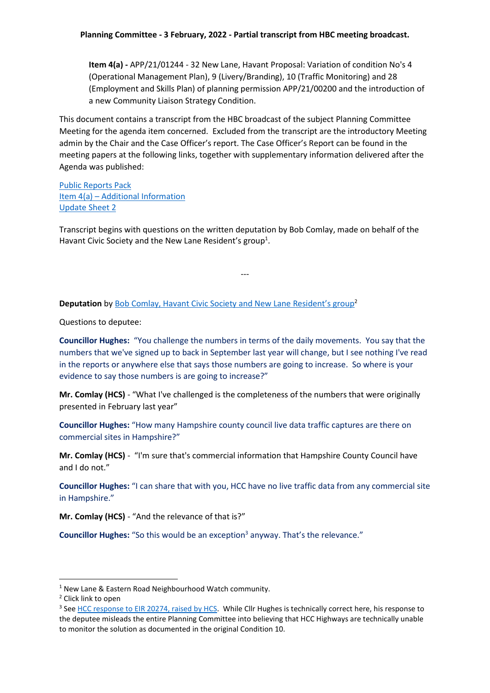**Item 4(a) -** APP/21/01244 - 32 New Lane, Havant Proposal: Variation of condition No's 4 (Operational Management Plan), 9 (Livery/Branding), 10 (Traffic Monitoring) and 28 (Employment and Skills Plan) of planning permission APP/21/00200 and the introduction of a new Community Liaison Strategy Condition.

This document contains a transcript from the HBC broadcast of the subject Planning Committee Meeting for the agenda item concerned. Excluded from the transcript are the introductory Meeting admin by the Chair and the Case Officer's report. The Case Officer's Report can be found in the meeting papers at the following links, together with supplementary information delivered after the Agenda was published:

[Public Reports Pack](https://hcsnew.files.wordpress.com/2022/02/public-reports-pack-03022022-1700-planning-committee.pdf) Item 4(a) – [Additional Information](https://hcsnew.files.wordpress.com/2022/02/supplement-item-4a-additonal-information-03022022-1700-planning-committee.pdf) [Update Sheet 2](https://hcsnew.files.wordpress.com/2022/02/supplement-update-sheet-2-03022022-1700-planning-committee.pdf)

Transcript begins with questions on the written deputation by Bob Comlay, made on behalf of the Havant Civic Society and the New Lane Resident's group<sup>1</sup>.

---

**Deputation** by [Bob Comlay, Havant Civic Society and New Lane Resident's group](https://hcsnew.files.wordpress.com/2022/02/app21001244-hcs-deputation.pdf)<sup>2</sup>

Questions to deputee:

**Councillor Hughes:** "You challenge the numbers in terms of the daily movements. You say that the numbers that we've signed up to back in September last year will change, but I see nothing I've read in the reports or anywhere else that says those numbers are going to increase. So where is your evidence to say those numbers is are going to increase?"

**Mr. Comlay (HCS)** - "What I've challenged is the completeness of the numbers that were originally presented in February last year"

**Councillor Hughes:** "How many Hampshire county council live data traffic captures are there on commercial sites in Hampshire?"

**Mr. Comlay (HCS)** - "I'm sure that's commercial information that Hampshire County Council have and I do not."

**Councillor Hughes:** "I can share that with you, HCC have no live traffic data from any commercial site in Hampshire."

**Mr. Comlay (HCS)** - "And the relevance of that is?"

**Councillor Hughes:** "So this would be an exception<sup>3</sup> anyway. That's the relevance."

**.** 

<sup>&</sup>lt;sup>1</sup> New Lane & Eastern Road Neighbourhood Watch community.

<sup>2</sup> Click link to open

<sup>&</sup>lt;sup>3</sup> See [HCC response to EIR 20274, raised by HCS.](https://hcsnew.files.wordpress.com/2022/02/eir-20274-comlay-response-2022-02-11.pdf) While Cllr Hughes is technically correct here, his response to the deputee misleads the entire Planning Committee into believing that HCC Highways are technically unable to monitor the solution as documented in the original Condition 10.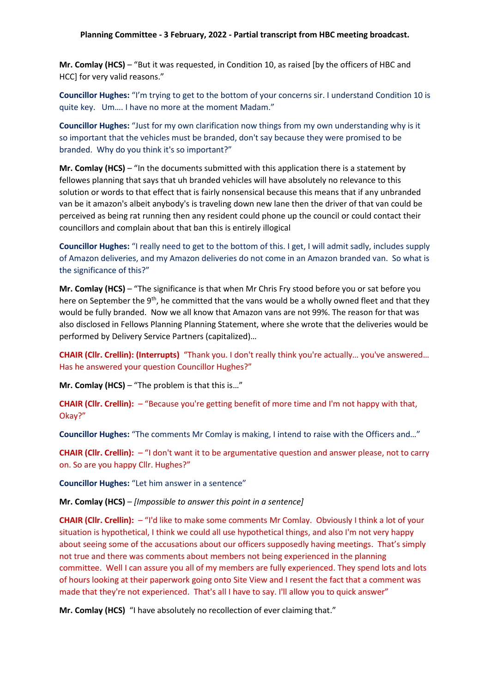**Mr. Comlay (HCS)** – "But it was requested, in Condition 10, as raised [by the officers of HBC and HCC] for very valid reasons."

**Councillor Hughes:** "I'm trying to get to the bottom of your concerns sir. I understand Condition 10 is quite key. Um…. I have no more at the moment Madam."

**Councillor Hughes:** "Just for my own clarification now things from my own understanding why is it so important that the vehicles must be branded, don't say because they were promised to be branded. Why do you think it's so important?"

**Mr. Comlay (HCS)** – "In the documents submitted with this application there is a statement by fellowes planning that says that uh branded vehicles will have absolutely no relevance to this solution or words to that effect that is fairly nonsensical because this means that if any unbranded van be it amazon's albeit anybody's is traveling down new lane then the driver of that van could be perceived as being rat running then any resident could phone up the council or could contact their councillors and complain about that ban this is entirely illogical

**Councillor Hughes:** "I really need to get to the bottom of this. I get, I will admit sadly, includes supply of Amazon deliveries, and my Amazon deliveries do not come in an Amazon branded van. So what is the significance of this?"

**Mr. Comlay (HCS)** – "The significance is that when Mr Chris Fry stood before you or sat before you here on September the 9<sup>th</sup>, he committed that the vans would be a wholly owned fleet and that they would be fully branded. Now we all know that Amazon vans are not 99%. The reason for that was also disclosed in Fellows Planning Planning Statement, where she wrote that the deliveries would be performed by Delivery Service Partners (capitalized)…

**CHAIR (Cllr. Crellin): (Interrupts)** "Thank you. I don't really think you're actually… you've answered… Has he answered your question Councillor Hughes?"

**Mr. Comlay (HCS)** – "The problem is that this is…"

**CHAIR (Cllr. Crellin):** – "Because you're getting benefit of more time and I'm not happy with that, Okay?"

**Councillor Hughes:** "The comments Mr Comlay is making, I intend to raise with the Officers and…"

**CHAIR (Cllr. Crellin):** – "I don't want it to be argumentative question and answer please, not to carry on. So are you happy Cllr. Hughes?"

**Councillor Hughes:** "Let him answer in a sentence"

**Mr. Comlay (HCS)** – *[Impossible to answer this point in a sentence]*

**CHAIR (Cllr. Crellin):** – "I'd like to make some comments Mr Comlay. Obviously I think a lot of your situation is hypothetical, I think we could all use hypothetical things, and also I'm not very happy about seeing some of the accusations about our officers supposedly having meetings. That's simply not true and there was comments about members not being experienced in the planning committee. Well I can assure you all of my members are fully experienced. They spend lots and lots of hours looking at their paperwork going onto Site View and I resent the fact that a comment was made that they're not experienced. That's all I have to say. I'll allow you to quick answer"

**Mr. Comlay (HCS)** "I have absolutely no recollection of ever claiming that."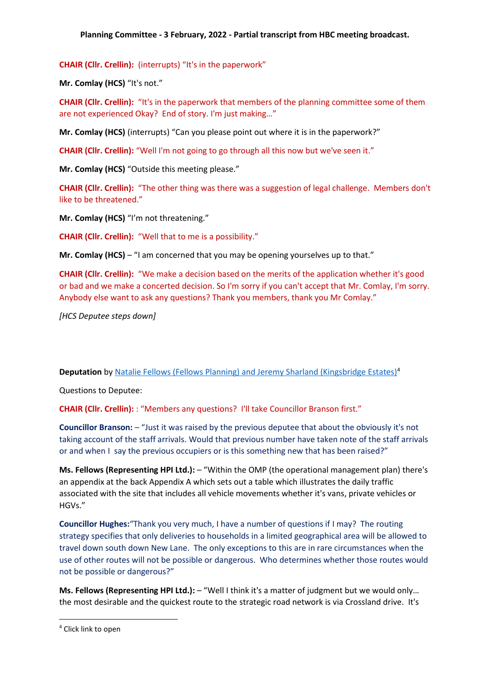**CHAIR (Cllr. Crellin):** (interrupts) "It's in the paperwork"

**Mr. Comlay (HCS)** "It's not."

**CHAIR (Cllr. Crellin):** "It's in the paperwork that members of the planning committee some of them are not experienced Okay? End of story. I'm just making…"

**Mr. Comlay (HCS)** (interrupts) "Can you please point out where it is in the paperwork?"

**CHAIR (Cllr. Crellin):** "Well I'm not going to go through all this now but we've seen it."

**Mr. Comlay (HCS)** "Outside this meeting please."

**CHAIR (Cllr. Crellin):** "The other thing was there was a suggestion of legal challenge. Members don't like to be threatened."

**Mr. Comlay (HCS)** "I'm not threatening."

**CHAIR (Cllr. Crellin):** "Well that to me is a possibility."

**Mr. Comlay (HCS)** – "I am concerned that you may be opening yourselves up to that."

**CHAIR (Cllr. Crellin):** "We make a decision based on the merits of the application whether it's good or bad and we make a concerted decision. So I'm sorry if you can't accept that Mr. Comlay, I'm sorry. Anybody else want to ask any questions? Thank you members, thank you Mr Comlay."

*[HCS Deputee steps down]*

#### **Deputation** b[y Natalie Fellows \(Fellows Planning\) and Jeremy Sharland \(Kingsbridge Estates\)](https://hcsnew.files.wordpress.com/2022/02/app21001244-applicant-deputation.pdf)<sup>4</sup>

Questions to Deputee:

**CHAIR (Cllr. Crellin):** : "Members any questions? I'll take Councillor Branson first."

**Councillor Branson:** – "Just it was raised by the previous deputee that about the obviously it's not taking account of the staff arrivals. Would that previous number have taken note of the staff arrivals or and when I say the previous occupiers or is this something new that has been raised?"

**Ms. Fellows (Representing HPI Ltd.):** – "Within the OMP (the operational management plan) there's an appendix at the back Appendix A which sets out a table which illustrates the daily traffic associated with the site that includes all vehicle movements whether it's vans, private vehicles or HGVs."

**Councillor Hughes:**"Thank you very much, I have a number of questions if I may? The routing strategy specifies that only deliveries to households in a limited geographical area will be allowed to travel down south down New Lane. The only exceptions to this are in rare circumstances when the use of other routes will not be possible or dangerous. Who determines whether those routes would not be possible or dangerous?"

**Ms. Fellows (Representing HPI Ltd.):** – "Well I think it's a matter of judgment but we would only… the most desirable and the quickest route to the strategic road network is via Crossland drive. It's

**.** 

<sup>4</sup> Click link to open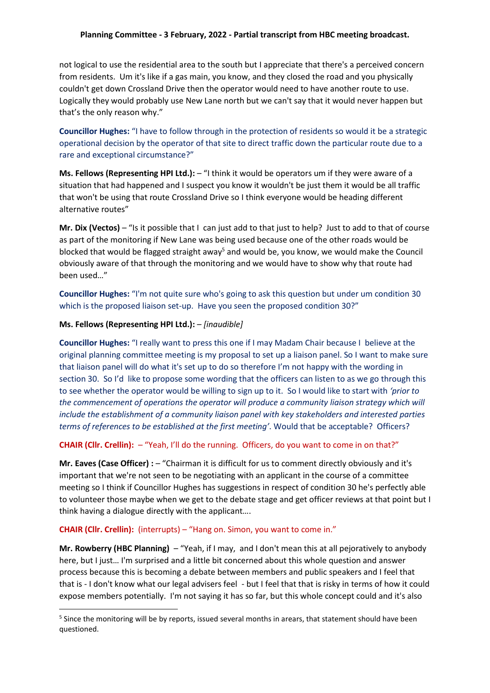not logical to use the residential area to the south but I appreciate that there's a perceived concern from residents. Um it's like if a gas main, you know, and they closed the road and you physically couldn't get down Crossland Drive then the operator would need to have another route to use. Logically they would probably use New Lane north but we can't say that it would never happen but that's the only reason why."

**Councillor Hughes:** "I have to follow through in the protection of residents so would it be a strategic operational decision by the operator of that site to direct traffic down the particular route due to a rare and exceptional circumstance?"

**Ms. Fellows (Representing HPI Ltd.):** – "I think it would be operators um if they were aware of a situation that had happened and I suspect you know it wouldn't be just them it would be all traffic that won't be using that route Crossland Drive so I think everyone would be heading different alternative routes"

**Mr. Dix (Vectos)** – "Is it possible that I can just add to that just to help? Just to add to that of course as part of the monitoring if New Lane was being used because one of the other roads would be blocked that would be flagged straight away<sup>5</sup> and would be, you know, we would make the Council obviously aware of that through the monitoring and we would have to show why that route had been used…"

**Councillor Hughes:** "I'm not quite sure who's going to ask this question but under um condition 30 which is the proposed liaison set-up. Have you seen the proposed condition 30?"

#### **Ms. Fellows (Representing HPI Ltd.):** – *[inaudible]*

1

**Councillor Hughes:** "I really want to press this one if I may Madam Chair because I believe at the original planning committee meeting is my proposal to set up a liaison panel. So I want to make sure that liaison panel will do what it's set up to do so therefore I'm not happy with the wording in section 30. So I'd like to propose some wording that the officers can listen to as we go through this to see whether the operator would be willing to sign up to it. So I would like to start with *'prior to the commencement of operations the operator will produce a community liaison strategy which will include the establishment of a community liaison panel with key stakeholders and interested parties terms of references to be established at the first meeting'*. Would that be acceptable? Officers?

## **CHAIR (Cllr. Crellin):** – "Yeah, I'll do the running. Officers, do you want to come in on that?"

**Mr. Eaves (Case Officer) :** – "Chairman it is difficult for us to comment directly obviously and it's important that we're not seen to be negotiating with an applicant in the course of a committee meeting so I think if Councillor Hughes has suggestions in respect of condition 30 he's perfectly able to volunteer those maybe when we get to the debate stage and get officer reviews at that point but I think having a dialogue directly with the applicant….

## **CHAIR (Cllr. Crellin):** (interrupts) – "Hang on. Simon, you want to come in."

**Mr. Rowberry (HBC Planning)** – "Yeah, if I may, and I don't mean this at all pejoratively to anybody here, but I just… I'm surprised and a little bit concerned about this whole question and answer process because this is becoming a debate between members and public speakers and I feel that that is - I don't know what our legal advisers feel - but I feel that that is risky in terms of how it could expose members potentially. I'm not saying it has so far, but this whole concept could and it's also

<sup>&</sup>lt;sup>5</sup> Since the monitoring will be by reports, issued several months in arears, that statement should have been questioned.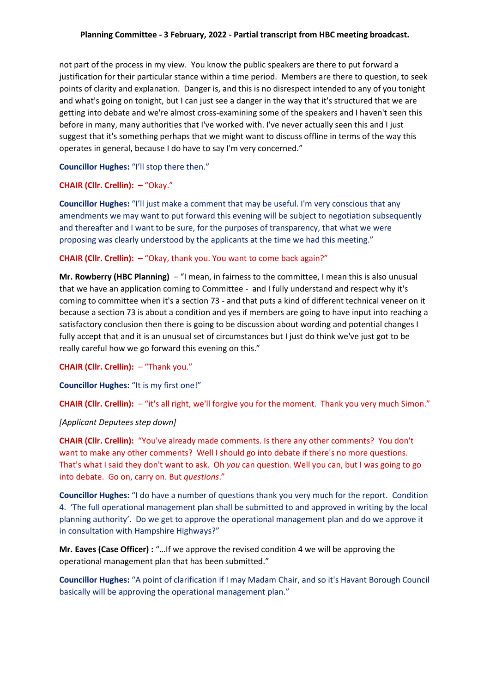not part of the process in my view. You know the public speakers are there to put forward a justification for their particular stance within a time period. Members are there to question, to seek points of clarity and explanation. Danger is, and this is no disrespect intended to any of you tonight and what's going on tonight, but I can just see a danger in the way that it's structured that we are getting into debate and we're almost cross-examining some of the speakers and I haven't seen this before in many, many authorities that I've worked with. I've never actually seen this and I just suggest that it's something perhaps that we might want to discuss offline in terms of the way this operates in general, because I do have to say I'm very concerned."

# **Councillor Hughes:** "I'll stop there then."

#### **CHAIR (Cllr. Crellin):** – "Okay."

**Councillor Hughes:** "I'll just make a comment that may be useful. I'm very conscious that any amendments we may want to put forward this evening will be subject to negotiation subsequently and thereafter and I want to be sure, for the purposes of transparency, that what we were proposing was clearly understood by the applicants at the time we had this meeting."

#### **CHAIR (Cllr. Crellin):** – "Okay, thank you. You want to come back again?"

**Mr. Rowberry (HBC Planning)** – "I mean, in fairness to the committee, I mean this is also unusual that we have an application coming to Committee - and I fully understand and respect why it's coming to committee when it's a section 73 - and that puts a kind of different technical veneer on it because a section 73 is about a condition and yes if members are going to have input into reaching a satisfactory conclusion then there is going to be discussion about wording and potential changes I fully accept that and it is an unusual set of circumstances but I just do think we've just got to be really careful how we go forward this evening on this."

**CHAIR (Cllr. Crellin):** – "Thank you."

**Councillor Hughes:** "It is my first one!"

**CHAIR (Cllr. Crellin):** – "it's all right, we'll forgive you for the moment. Thank you very much Simon."

## *[Applicant Deputees step down]*

**CHAIR (Cllr. Crellin):** "You've already made comments. Is there any other comments? You don't want to make any other comments? Well I should go into debate if there's no more questions. That's what I said they don't want to ask. Oh *you* can question. Well you can, but I was going to go into debate. Go on, carry on. But *questions*."

**Councillor Hughes:** "I do have a number of questions thank you very much for the report. Condition 4. 'The full operational management plan shall be submitted to and approved in writing by the local planning authority'. Do we get to approve the operational management plan and do we approve it in consultation with Hampshire Highways?"

**Mr. Eaves (Case Officer) :** "…If we approve the revised condition 4 we will be approving the operational management plan that has been submitted."

**Councillor Hughes:** "A point of clarification if I may Madam Chair, and so it's Havant Borough Council basically will be approving the operational management plan."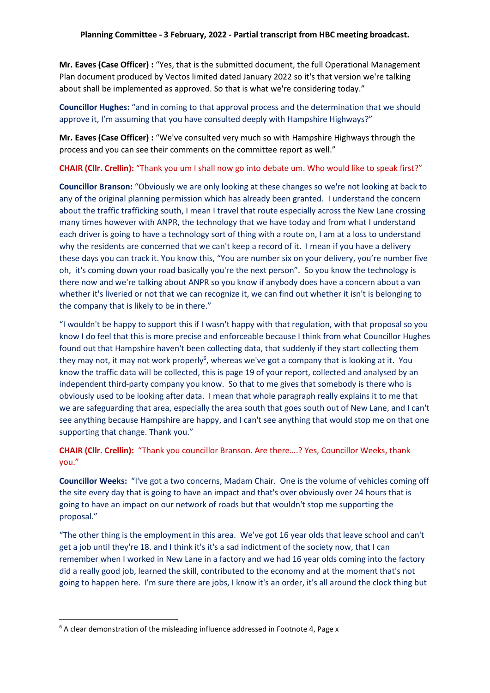**Mr. Eaves (Case Officer) :** "Yes, that is the submitted document, the full Operational Management Plan document produced by Vectos limited dated January 2022 so it's that version we're talking about shall be implemented as approved. So that is what we're considering today."

**Councillor Hughes:** "and in coming to that approval process and the determination that we should approve it, I'm assuming that you have consulted deeply with Hampshire Highways?"

**Mr. Eaves (Case Officer) :** "We've consulted very much so with Hampshire Highways through the process and you can see their comments on the committee report as well."

**CHAIR (Cllr. Crellin):** "Thank you um I shall now go into debate um. Who would like to speak first?"

**Councillor Branson:** "Obviously we are only looking at these changes so we're not looking at back to any of the original planning permission which has already been granted. I understand the concern about the traffic trafficking south, I mean I travel that route especially across the New Lane crossing many times however with ANPR, the technology that we have today and from what I understand each driver is going to have a technology sort of thing with a route on, I am at a loss to understand why the residents are concerned that we can't keep a record of it. I mean if you have a delivery these days you can track it. You know this, "You are number six on your delivery, you're number five oh, it's coming down your road basically you're the next person". So you know the technology is there now and we're talking about ANPR so you know if anybody does have a concern about a van whether it's liveried or not that we can recognize it, we can find out whether it isn't is belonging to the company that is likely to be in there."

"I wouldn't be happy to support this if I wasn't happy with that regulation, with that proposal so you know I do feel that this is more precise and enforceable because I think from what Councillor Hughes found out that Hampshire haven't been collecting data, that suddenly if they start collecting them they may not, it may not work properly<sup>6</sup>, whereas we've got a company that is looking at it. You know the traffic data will be collected, this is page 19 of your report, collected and analysed by an independent third-party company you know. So that to me gives that somebody is there who is obviously used to be looking after data. I mean that whole paragraph really explains it to me that we are safeguarding that area, especially the area south that goes south out of New Lane, and I can't see anything because Hampshire are happy, and I can't see anything that would stop me on that one supporting that change. Thank you."

**CHAIR (Cllr. Crellin):** "Thank you councillor Branson. Are there….? Yes, Councillor Weeks, thank you."

**Councillor Weeks:** "I've got a two concerns, Madam Chair. One is the volume of vehicles coming off the site every day that is going to have an impact and that's over obviously over 24 hours that is going to have an impact on our network of roads but that wouldn't stop me supporting the proposal."

"The other thing is the employment in this area. We've got 16 year olds that leave school and can't get a job until they're 18. and I think it's it's a sad indictment of the society now, that I can remember when I worked in New Lane in a factory and we had 16 year olds coming into the factory did a really good job, learned the skill, contributed to the economy and at the moment that's not going to happen here. I'm sure there are jobs, I know it's an order, it's all around the clock thing but

**.** 

<sup>&</sup>lt;sup>6</sup> A clear demonstration of the misleading influence addressed in Footnote 4, Page x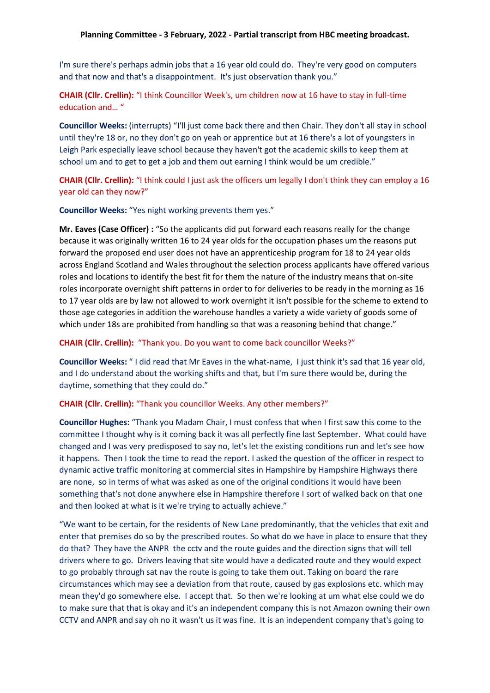I'm sure there's perhaps admin jobs that a 16 year old could do. They're very good on computers and that now and that's a disappointment. It's just observation thank you."

**CHAIR (Cllr. Crellin):** "I think Councillor Week's, um children now at 16 have to stay in full-time education and… "

**Councillor Weeks:** (interrupts) "I'll just come back there and then Chair. They don't all stay in school until they're 18 or, no they don't go on yeah or apprentice but at 16 there's a lot of youngsters in Leigh Park especially leave school because they haven't got the academic skills to keep them at school um and to get to get a job and them out earning I think would be um credible."

**CHAIR (Cllr. Crellin):** "I think could I just ask the officers um legally I don't think they can employ a 16 year old can they now?"

**Councillor Weeks:** "Yes night working prevents them yes."

**Mr. Eaves (Case Officer) :** "So the applicants did put forward each reasons really for the change because it was originally written 16 to 24 year olds for the occupation phases um the reasons put forward the proposed end user does not have an apprenticeship program for 18 to 24 year olds across England Scotland and Wales throughout the selection process applicants have offered various roles and locations to identify the best fit for them the nature of the industry means that on-site roles incorporate overnight shift patterns in order to for deliveries to be ready in the morning as 16 to 17 year olds are by law not allowed to work overnight it isn't possible for the scheme to extend to those age categories in addition the warehouse handles a variety a wide variety of goods some of which under 18s are prohibited from handling so that was a reasoning behind that change."

#### **CHAIR (Cllr. Crellin):** "Thank you. Do you want to come back councillor Weeks?"

**Councillor Weeks:** " I did read that Mr Eaves in the what-name, I just think it's sad that 16 year old, and I do understand about the working shifts and that, but I'm sure there would be, during the daytime, something that they could do."

**CHAIR (Cllr. Crellin):** "Thank you councillor Weeks. Any other members?"

**Councillor Hughes:** "Thank you Madam Chair, I must confess that when I first saw this come to the committee I thought why is it coming back it was all perfectly fine last September. What could have changed and I was very predisposed to say no, let's let the existing conditions run and let's see how it happens. Then I took the time to read the report. I asked the question of the officer in respect to dynamic active traffic monitoring at commercial sites in Hampshire by Hampshire Highways there are none, so in terms of what was asked as one of the original conditions it would have been something that's not done anywhere else in Hampshire therefore I sort of walked back on that one and then looked at what is it we're trying to actually achieve."

"We want to be certain, for the residents of New Lane predominantly, that the vehicles that exit and enter that premises do so by the prescribed routes. So what do we have in place to ensure that they do that? They have the ANPR the cctv and the route guides and the direction signs that will tell drivers where to go. Drivers leaving that site would have a dedicated route and they would expect to go probably through sat nav the route is going to take them out. Taking on board the rare circumstances which may see a deviation from that route, caused by gas explosions etc. which may mean they'd go somewhere else. I accept that. So then we're looking at um what else could we do to make sure that that is okay and it's an independent company this is not Amazon owning their own CCTV and ANPR and say oh no it wasn't us it was fine. It is an independent company that's going to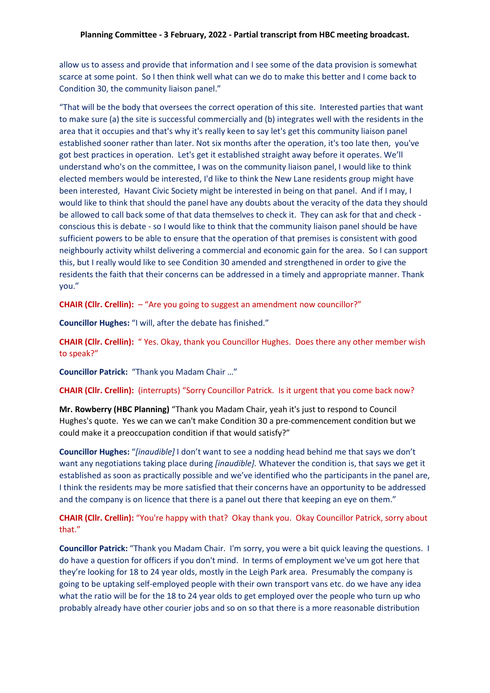allow us to assess and provide that information and I see some of the data provision is somewhat scarce at some point. So I then think well what can we do to make this better and I come back to Condition 30, the community liaison panel."

"That will be the body that oversees the correct operation of this site. Interested parties that want to make sure (a) the site is successful commercially and (b) integrates well with the residents in the area that it occupies and that's why it's really keen to say let's get this community liaison panel established sooner rather than later. Not six months after the operation, it's too late then, you've got best practices in operation. Let's get it established straight away before it operates. We'll understand who's on the committee, I was on the community liaison panel, I would like to think elected members would be interested, I'd like to think the New Lane residents group might have been interested, Havant Civic Society might be interested in being on that panel. And if I may, I would like to think that should the panel have any doubts about the veracity of the data they should be allowed to call back some of that data themselves to check it. They can ask for that and check conscious this is debate - so I would like to think that the community liaison panel should be have sufficient powers to be able to ensure that the operation of that premises is consistent with good neighbourly activity whilst delivering a commercial and economic gain for the area. So I can support this, but I really would like to see Condition 30 amended and strengthened in order to give the residents the faith that their concerns can be addressed in a timely and appropriate manner. Thank you."

**CHAIR (Cllr. Crellin):** – "Are you going to suggest an amendment now councillor?"

**Councillor Hughes:** "I will, after the debate has finished."

**CHAIR (Cllr. Crellin):** " Yes. Okay, thank you Councillor Hughes. Does there any other member wish to speak?"

**Councillor Patrick:** "Thank you Madam Chair …"

**CHAIR (Cllr. Crellin):** (interrupts) "Sorry Councillor Patrick. Is it urgent that you come back now?

**Mr. Rowberry (HBC Planning)** "Thank you Madam Chair, yeah it's just to respond to Council Hughes's quote. Yes we can we can't make Condition 30 a pre-commencement condition but we could make it a preoccupation condition if that would satisfy?"

**Councillor Hughes:** "*[inaudible]* I don't want to see a nodding head behind me that says we don't want any negotiations taking place during *[inaudible].* Whatever the condition is, that says we get it established as soon as practically possible and we've identified who the participants in the panel are, I think the residents may be more satisfied that their concerns have an opportunity to be addressed and the company is on licence that there is a panel out there that keeping an eye on them."

**CHAIR (Cllr. Crellin):** "You're happy with that? Okay thank you. Okay Councillor Patrick, sorry about that."

**Councillor Patrick:** "Thank you Madam Chair. I'm sorry, you were a bit quick leaving the questions. I do have a question for officers if you don't mind. In terms of employment we've um got here that they're looking for 18 to 24 year olds, mostly in the Leigh Park area. Presumably the company is going to be uptaking self-employed people with their own transport vans etc. do we have any idea what the ratio will be for the 18 to 24 year olds to get employed over the people who turn up who probably already have other courier jobs and so on so that there is a more reasonable distribution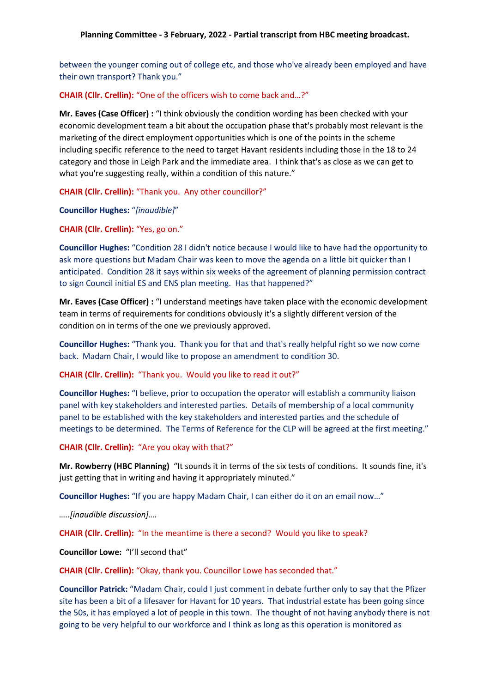between the younger coming out of college etc, and those who've already been employed and have their own transport? Thank you."

## **CHAIR (Cllr. Crellin):** "One of the officers wish to come back and…?"

**Mr. Eaves (Case Officer) :** "I think obviously the condition wording has been checked with your economic development team a bit about the occupation phase that's probably most relevant is the marketing of the direct employment opportunities which is one of the points in the scheme including specific reference to the need to target Havant residents including those in the 18 to 24 category and those in Leigh Park and the immediate area. I think that's as close as we can get to what you're suggesting really, within a condition of this nature."

**CHAIR (Cllr. Crellin):** "Thank you. Any other councillor?"

**Councillor Hughes:** "*[inaudible]*"

**CHAIR (Cllr. Crellin):** "Yes, go on."

**Councillor Hughes:** "Condition 28 I didn't notice because I would like to have had the opportunity to ask more questions but Madam Chair was keen to move the agenda on a little bit quicker than I anticipated. Condition 28 it says within six weeks of the agreement of planning permission contract to sign Council initial ES and ENS plan meeting. Has that happened?"

**Mr. Eaves (Case Officer) :** "I understand meetings have taken place with the economic development team in terms of requirements for conditions obviously it's a slightly different version of the condition on in terms of the one we previously approved.

**Councillor Hughes:** "Thank you. Thank you for that and that's really helpful right so we now come back. Madam Chair, I would like to propose an amendment to condition 30.

**CHAIR (Cllr. Crellin):** "Thank you. Would you like to read it out?"

**Councillor Hughes:** "I believe, prior to occupation the operator will establish a community liaison panel with key stakeholders and interested parties. Details of membership of a local community panel to be established with the key stakeholders and interested parties and the schedule of meetings to be determined. The Terms of Reference for the CLP will be agreed at the first meeting."

**CHAIR (Cllr. Crellin):** "Are you okay with that?"

**Mr. Rowberry (HBC Planning)** "It sounds it in terms of the six tests of conditions. It sounds fine, it's just getting that in writing and having it appropriately minuted."

**Councillor Hughes:** "If you are happy Madam Chair, I can either do it on an email now…"

*…..[inaudible discussion]….*

**CHAIR (Cllr. Crellin):** "In the meantime is there a second? Would you like to speak?

**Councillor Lowe:** "I'll second that"

**CHAIR (Cllr. Crellin):** "Okay, thank you. Councillor Lowe has seconded that."

**Councillor Patrick:** "Madam Chair, could I just comment in debate further only to say that the Pfizer site has been a bit of a lifesaver for Havant for 10 years. That industrial estate has been going since the 50s, it has employed a lot of people in this town. The thought of not having anybody there is not going to be very helpful to our workforce and I think as long as this operation is monitored as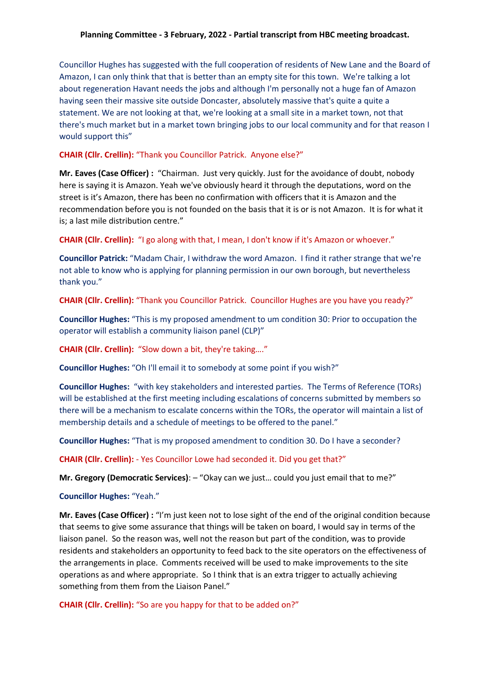Councillor Hughes has suggested with the full cooperation of residents of New Lane and the Board of Amazon, I can only think that that is better than an empty site for this town. We're talking a lot about regeneration Havant needs the jobs and although I'm personally not a huge fan of Amazon having seen their massive site outside Doncaster, absolutely massive that's quite a quite a statement. We are not looking at that, we're looking at a small site in a market town, not that there's much market but in a market town bringing jobs to our local community and for that reason I would support this"

#### **CHAIR (Cllr. Crellin):** "Thank you Councillor Patrick. Anyone else?"

**Mr. Eaves (Case Officer) :** "Chairman. Just very quickly. Just for the avoidance of doubt, nobody here is saying it is Amazon. Yeah we've obviously heard it through the deputations, word on the street is it's Amazon, there has been no confirmation with officers that it is Amazon and the recommendation before you is not founded on the basis that it is or is not Amazon. It is for what it is; a last mile distribution centre."

**CHAIR (Cllr. Crellin):** "I go along with that, I mean, I don't know if it's Amazon or whoever."

**Councillor Patrick:** "Madam Chair, I withdraw the word Amazon. I find it rather strange that we're not able to know who is applying for planning permission in our own borough, but nevertheless thank you."

**CHAIR (Cllr. Crellin):** "Thank you Councillor Patrick. Councillor Hughes are you have you ready?"

**Councillor Hughes:** "This is my proposed amendment to um condition 30: Prior to occupation the operator will establish a community liaison panel (CLP)"

**CHAIR (Cllr. Crellin):** "Slow down a bit, they're taking…."

**Councillor Hughes:** "Oh I'll email it to somebody at some point if you wish?"

**Councillor Hughes:** "with key stakeholders and interested parties. The Terms of Reference (TORs) will be established at the first meeting including escalations of concerns submitted by members so there will be a mechanism to escalate concerns within the TORs, the operator will maintain a list of membership details and a schedule of meetings to be offered to the panel."

**Councillor Hughes:** "That is my proposed amendment to condition 30. Do I have a seconder?

**CHAIR (Cllr. Crellin):** - Yes Councillor Lowe had seconded it. Did you get that?"

**Mr. Gregory (Democratic Services)**: – "Okay can we just… could you just email that to me?"

#### **Councillor Hughes:** "Yeah."

**Mr. Eaves (Case Officer) :** "I'm just keen not to lose sight of the end of the original condition because that seems to give some assurance that things will be taken on board, I would say in terms of the liaison panel. So the reason was, well not the reason but part of the condition, was to provide residents and stakeholders an opportunity to feed back to the site operators on the effectiveness of the arrangements in place. Comments received will be used to make improvements to the site operations as and where appropriate. So I think that is an extra trigger to actually achieving something from them from the Liaison Panel."

**CHAIR (Cllr. Crellin):** "So are you happy for that to be added on?"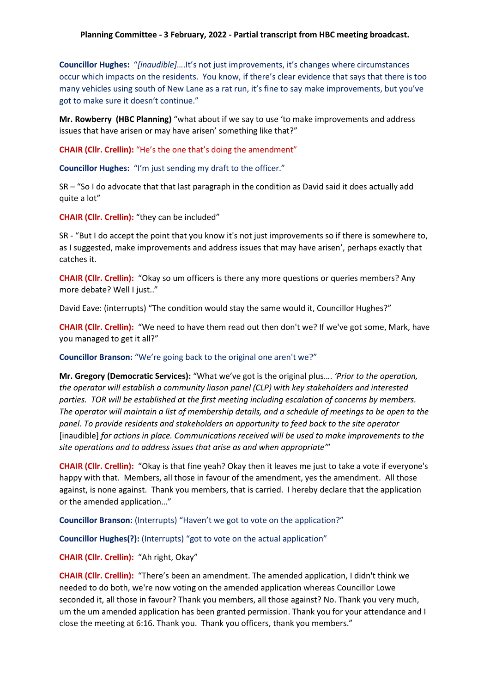**Councillor Hughes:** "*[inaudible]*….It's not just improvements, it's changes where circumstances occur which impacts on the residents. You know, if there's clear evidence that says that there is too many vehicles using south of New Lane as a rat run, it's fine to say make improvements, but you've got to make sure it doesn't continue."

**Mr. Rowberry (HBC Planning)** "what about if we say to use 'to make improvements and address issues that have arisen or may have arisen' something like that?"

**CHAIR (Cllr. Crellin):** "He's the one that's doing the amendment"

**Councillor Hughes:** "I'm just sending my draft to the officer."

SR – "So I do advocate that that last paragraph in the condition as David said it does actually add quite a lot"

**CHAIR (Cllr. Crellin):** "they can be included"

SR - "But I do accept the point that you know it's not just improvements so if there is somewhere to, as I suggested, make improvements and address issues that may have arisen', perhaps exactly that catches it.

**CHAIR (Cllr. Crellin):** "Okay so um officers is there any more questions or queries members? Any more debate? Well I just.."

David Eave: (interrupts) "The condition would stay the same would it, Councillor Hughes?"

**CHAIR (Cllr. Crellin):** "We need to have them read out then don't we? If we've got some, Mark, have you managed to get it all?"

#### **Councillor Branson:** "We're going back to the original one aren't we?"

**Mr. Gregory (Democratic Services):** "What we've got is the original plus…. *'Prior to the operation, the operator will establish a community liason panel (CLP) with key stakeholders and interested parties. TOR will be established at the first meeting including escalation of concerns by members. The operator will maintain a list of membership details, and a schedule of meetings to be open to the panel. To provide residents and stakeholders an opportunity to feed back to the site operator*  [inaudible] *for actions in place. Communications received will be used to make improvements to the site operations and to address issues that arise as and when appropriate'*"

**CHAIR (Cllr. Crellin):** "Okay is that fine yeah? Okay then it leaves me just to take a vote if everyone's happy with that. Members, all those in favour of the amendment, yes the amendment. All those against, is none against. Thank you members, that is carried. I hereby declare that the application or the amended application…"

**Councillor Branson:** (Interrupts) "Haven't we got to vote on the application?"

**Councillor Hughes(?):** (Interrupts) "got to vote on the actual application"

#### **CHAIR (Cllr. Crellin):** "Ah right, Okay"

**CHAIR (Cllr. Crellin):** "There's been an amendment. The amended application, I didn't think we needed to do both, we're now voting on the amended application whereas Councillor Lowe seconded it, all those in favour? Thank you members, all those against? No. Thank you very much, um the um amended application has been granted permission. Thank you for your attendance and I close the meeting at 6:16. Thank you. Thank you officers, thank you members."